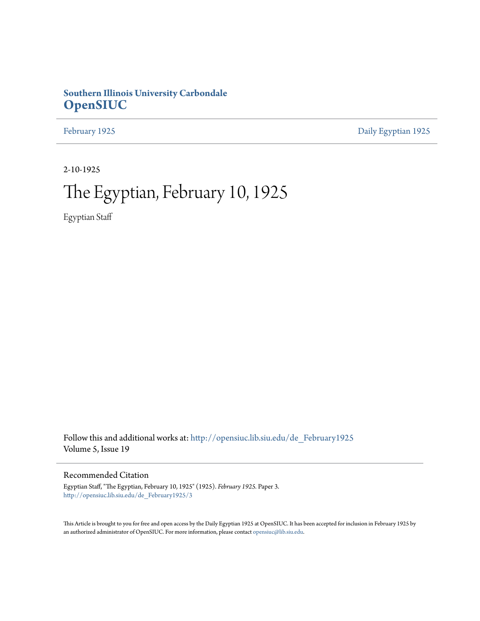## **Southern Illinois University Carbondale [OpenSIUC](http://opensiuc.lib.siu.edu?utm_source=opensiuc.lib.siu.edu%2Fde_February1925%2F3&utm_medium=PDF&utm_campaign=PDFCoverPages)**

[February 1925](http://opensiuc.lib.siu.edu/de_February1925?utm_source=opensiuc.lib.siu.edu%2Fde_February1925%2F3&utm_medium=PDF&utm_campaign=PDFCoverPages) [Daily Egyptian 1925](http://opensiuc.lib.siu.edu/de_1925?utm_source=opensiuc.lib.siu.edu%2Fde_February1925%2F3&utm_medium=PDF&utm_campaign=PDFCoverPages)

2-10-1925

# The Egyptian, February 10, 1925

Egyptian Staff

Follow this and additional works at: [http://opensiuc.lib.siu.edu/de\\_February1925](http://opensiuc.lib.siu.edu/de_February1925?utm_source=opensiuc.lib.siu.edu%2Fde_February1925%2F3&utm_medium=PDF&utm_campaign=PDFCoverPages) Volume 5, Issue 19

## Recommended Citation

Egyptian Staff, "The Egyptian, February 10, 1925" (1925). *February 1925.* Paper 3. [http://opensiuc.lib.siu.edu/de\\_February1925/3](http://opensiuc.lib.siu.edu/de_February1925/3?utm_source=opensiuc.lib.siu.edu%2Fde_February1925%2F3&utm_medium=PDF&utm_campaign=PDFCoverPages)

This Article is brought to you for free and open access by the Daily Egyptian 1925 at OpenSIUC. It has been accepted for inclusion in February 1925 by an authorized administrator of OpenSIUC. For more information, please contact [opensiuc@lib.siu.edu.](mailto:opensiuc@lib.siu.edu)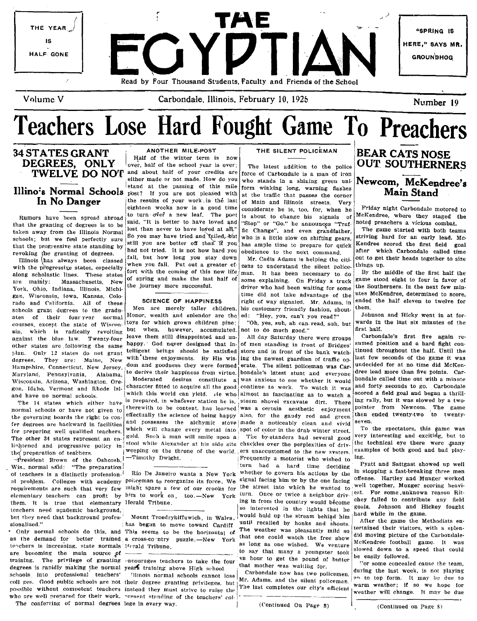

# Teachers Lose Hard Fought Game To Preachers

# Illino's Normal Schools post? If you are not pleased with at the traffic that passes the corner

that the granting of degrees is to be said, "It is better to have loved and "Stop" or "Go," he announces "Traf-<br>that the granting of degrees is to be allow than never to have loved at all," fic Change", and even grandfath that the granting of degrees is to be lost than never to have loyed at all," fic Change", and even grandfather, The game started with both teams father and  $\frac{1}{2}$  and  $\frac{1}{2}$  and even grandfather, The game started wi that the progressive state standing by still you are better off than  $\frac{1}{10}$  you has ample time to prepare for quick revolting the granting of degrees

with the progressive states, especially when you fall. Put out a greater ef- zens to understand the silent police- things up.<br>plant cabelestic lines where the context fort with the coming of this new life man. It has been along scholastic lines. These states fort with the coming of this new life man. It has been necessary to do By the middle of the first half the man are mainly and make the last half of some explaining. On Friday a truck g are mainly: Massachusetts, New  $\begin{vmatrix}$  of spring and make the last half of some explaining. On Friday a truck game stood eight to four in favor of  $\end{vmatrix}$  the journey more successful. York, Ohio, Indiana, Illinois, Michi- the journey more successful.<br>Fan Wisconsin Lowa Kansas Colo. The Color content of the Southerness of the utes McKendree, determined to score, gan, Wisconsin, Iowa, Kansas, Colo.  $\begin{array}{c|c|c|c|c|c|c|c|c} \hline \text{time did not take advantage of the } \text{lutes McKendree, determined to score, and Colif.} \end{array}$ rado and California. All of these SCIENCE OF HAPPINESS right of way signaled. Mr. Adams, in ended the half ended the half ended the half ended the half ended the half ended the half ended the half ended the twelve for twel schools grant degrees to the gradu. Men are merely taller children. his customary friendly fashion, shout. them.<br>Ates of their fountiests commet Honor, wealth and splendor are the ed: "Hey you can't you read?" Johnson and ates of their four-year normal Honor, wealth and splendor are the ed: "Hey, you, can't you read?"<br>courses except the state of Wiscon. toys for which grown children pine: "Oh, yes, suh, ah can-read, suh, but courses, except the state of Wiscon. toys for which grown children pine: "Oh, yes, suh, ah can- read, suh, but wards in the last six minutes of the sin. which is radically revolting but when, however, accumulated, not to d sin, which is radically revolting but when, however, accumulated. not to do much good," [IFSt half.<br>against the hine law Twenty.four leave them still disappointed and un. All day Saturday there were groups [Carbondale's fi against the blue law. Twenty-four leave them still disappointed and un-<br>ather states are following the same happy. God never designed that in- of men standing in front of Bridges' sumed position and a hard fight conother states are following the same happy.' God never designed that in- of men standing in front of Bridges' sumed position and a hard fight con-<br>the states are following the same telligent beings should be satisfied stor Julan, Only 12 states do not grant telligent beings should be satisfied store and in front of the bank watch.  $\int_0^{\ln 10}$  then  $\ln 10$  only 12 states do not from the balf. Until the decoration of the states of the same  $\frac{d}{dx}$  are: Maine, New with these enjoyments. By His wis- ing the newest guardian of traffic op. [last few seconds of the game it was<br>Hangeles. They are: Maine, New with these enjoyments. By His wis- ing the silent pol Hampshire, Connecticut. New Jersey, dom and goodness they were formed erate. The silent policeman was Car. undecided for at no time did McKen-<br>Maryland Pennsylvania Alahama to derive their happiness from virtue, bondale's Maryland, Pennsylvania, Alabama, to derive their happiness from virtue. The shell political was Car-<br>Maryland, Pennsylvania, Alabama, to derive their happiness from virtue. bondale's latest stunt and everyone dree lead mor Wisconsin, Arizona, Washington, Ore-<br>gon, Idaho, Vermont and Rhode Isl. character fitted to acquire all the good continue to work. To watch it was<br>and hans as a second subset a thrill-<br>and hans as a second a field goal an

I' have not given the state in the state of the state of the content, has learned was a certain aesthetic enjoyment pointer from Newcom. The game normal schools or he game in the same in the same in the state of the same the governing boards the right to con. effectually the science of being happy also, for the gaudy red and green: then end then end then end then end two two two two two two two two twenty-two to two two two two two two tw for degrees are backward in facilities and possesses the alchymic stove made a noticeably clean and vivid seven.<br>To the spectators, this game was which will change every metal into spot of color in the drab winter street. for preparing well qualified teachers. which will change every metal into spot of color in the drab winter street. To the spectators, this game was<br>The other 34 states represent an en- gold. Such a man will smile upon a T The other 34 states represent an en- gold. Such a man will smile upon a The by-standers had several good very interesting and exciting, but to The other and exciting, but to The other and exciting and exciting, but to  $\frac$ line states is stated to be policy in: stool while Alexander at his side sits chuckles over the perplexities of driv. the technical eye there were  $\mu$ nany the technical execution of the throne of the world ers unaccustom

Wis, normal said: "The preparation [ : turn had a hard time deciding Pyatt and Sattgast showed up well<br>In the same of the state of the state of the state of the state of the state of the state of the state of the state of of teachers is a distinctly profession. Rio De Janeiro wants a New York whether to govern his actions by the in stopping a fast-breaking three men<br>al problem. Colleges with academy policeman to reorganize its force. We <sup>si</sup> al problem. Colleges with academy policeman to reorganize its force, We signal facing him or by the one facing offense. Hartley and Munger worked requirements are such that very few might spare a few of our crooks for the street into which he wanted to well together, Munger scoring heavi-<br>Linn Once or twice a pair here also head of twice a pair here are twice a pair elementary teachers can profit by him to work on, too.-New York turn. Once or twice a neighbor driv.<sup>1est.</sup> For some unknown reason Rit-<br>them It is true that elementary Herald Tribune. In the sountry would become the some them. It is true that elementary Herald Tribune. ing in from the country would become chey failed to contribute any field<br>Iso interested in the lights that he goals. Johnson and Hickey fought the mediate background, It is the second that he game. It is a second that he game is a set of a second and Hickey for the game. It is a set of the game is a set of the game. It is a set of the game is a set of the game. but they need that background profes- Mount Troedryhiffuwich, in Wales. Would hald up the stream behind him hard while in the game.

as the demand for better trained a cross-comitry puzzle.—New York that one could watch the free show and moving present of the carbonical contracts is increasing, state normals Herald Tribune. are becoming the main source of the could could be easily followed down to a speed that many a youngster took slowed down to a speed that could be easily followed. training. The privilege of granting necourages teachers to take the four 'in hour to get the pound of butter be easily followed.<br>degrees is rapidly making the normal years training above the cohool that mother was waiting degrees is rapidly making the normal years training above High school.  $\begin{array}{c} \text{that mother was waiting for.} \\ \text{Carhondale now has two rolling the last week, is not playing} \end{array}$ schools into professional teachers' 'llinois normal schools cannot lose I Carbondale now has two policemen, and the state week, is not playing<br>and get Cool while schools are not that downed stranting writings with Mr. Adam coll ges. Good public schools are not their degree granting privileges, but Mr. Adams, and the silent policeman. It is to be form, It was to top form, It was to top form, It is to top form, It is to top form, It may be due possible without competent teachers instead they must strive to raise the International completes our city's efficient weather will change. It may be due who are well prepared for their work. "lesent standing of the teachers' col-

34 STATES GRANT : ANOTHER MILE-POST | THE SILENT POLICEMAN **DEGREES, ONLY** Half of the winter term is now<br> **DEGREES, ONLY** over, half of the school year is over;<br> **TWELVE DO NO'**<sup>I</sup> and about half of your credits are over, half of the school year is over; The latest addition to the police and about half of your credits are force of Carbondale is a man of iron either made or not made. How do you who stands in a shining graph unieither made or not made. How do you who stands in a shining green unitational stand at the passing of this mile comparison logg program derived **In No Danger** the results of your work in the last of Main and Illinois streets. Very eighteen weeks now is a good time considerate he is, too, for, when he eighteen weeks now is a good time considerate he is, too, for, when he Friday night Carbondale motored to turn over the staged the Rumors have been spread abroad to turn over a new leaf. The poet is about to change his signals of McKendree, where they staged the Illinois  $\begin{bmatrix} \text{has a lweang} \\ \text{all.} \end{bmatrix}$  all, but how long you stay down  $\begin{bmatrix} \text{Mr.} \\ \text{2ens} \end{bmatrix}$  and  $\begin{bmatrix} \text{Ar.} \\ \text{10} \end{bmatrix}$  and  $\begin{bmatrix} \text{Ar.} \\ \text{10} \end{bmatrix}$  and  $\begin{bmatrix} \text{Ar.} \\ \text{10} \end{bmatrix}$  and  $\begin{bmatrix} \text{Ar.} \\ \text{10} \$ 

th preparation of teachers.<br>
the preparation of the contents of the world, ers unaccustomed to the new system. examples of the contents of<br>
The detection of the Coheon in Timothy Dwight.

The conferring of normal degrees lege in every way.  $\vert$  (Continued On Page 8)  $\vert$  (Continued on Page 8)

resi(len! Brown of the Oshcosh,l-Timothy Dwight. !FrequentIy a motorist who wished to Ing. sionalized." It is the move toward consideration in the called by honks and shouts. After the game the Methodists en-<br>Sionalized." It is an after the Methodists en-<br>only normal schools do this, and This seems to be the bor Only normal schools do this, and This seems to be the horizontal of The weather was pleasantly mild so the demand their trained a cross-co-ntry nursele —New York, that one could watch the free show did moving picture of th

## BEAR CATS NOSE OUT SOUTHERNERS Newcom, McKendree's Main Stand

schools; but we feel perfectly sure So you may have tried and failed.-but who is a little slow on shifting gears, striving hard for an early lead. Mc-<br>that the processive state standing hard still you are better off than revoking the granting of degrees. had not tried. It is not how hard you obedience to the next command. after which Carbondale called time<br>with the stream how had fall, but how long you stay down Mr. Cadis Adams is helping

and have no normal schools.<br>and have no normal schools. Which this world can yield.  $Ae$  who almost as fascinating as to watch a <sup>1</sup>scored a field goal and began a thrill-<br>The 14 states which oither have <sup>is prepared, in w</sup> The 14 states which either have is prepared, in whatever station he is, steam shovel excavate dirt. There ing rally, but it was slowed by a two-<br>The 14 states which either have it therewith to be content, has learned was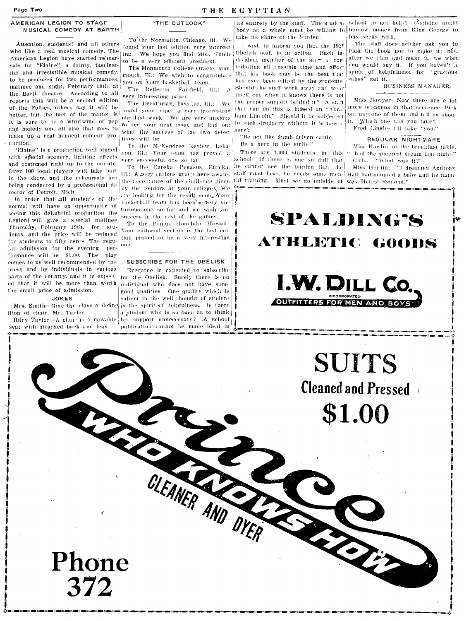## THE EGYPTIAN

## AMERICAN LEGION TO STAGE MUSICAL COMEDY AT BARTH

Attention, students! and all others who like a real musical comedy. The American Legion have started rehearsals for "Elaine" a dainty, fascinating and irresistible musical comedy, to be produced for two performances. matinee and night, February 19th, at the Barth theatre. According to all reports this will be a second edition of the Follies, others say it will be better, but the fact of the matter is it is sure to be a whirlwind of pep! and melody and all else that goes to make up a real musical comedy production.

"Elaine" is a production well staged with special scenery, lighting effects and costumed right up to the minute. Over 100 local players will take part in the show, and the rehearsals are being conducted by a professional director of Detroit, Mich.

In order that all students of the normal will have an opportunity of seeing this delightful production the Legion will give a special matinee Thursday, February 19th, for students, and the price will be reduced for students to fifty cents. The regular admission for the evening performance will be \$1.00. The play comes to us well recommended by the press and by individuals in various parts of the country, and it is expected that it will be more than worth individual who does not have some the small price of admission.

## **JOKES**

ition of chair, Mr. Taylor. Riley Taylor-A chair is a movable

seat with attached back and legs.

To the Normalite, Chicago, Ill.: We found your last edition very interest-

"THE OUTLOOK"

to be a very efficient president. The Monmouth College Oracle, Monmouth. Ill.: We wish to congratulate. you on your hasketball team.

The Reflector, Fairfield, Ill.: very interesting paper.

found your paper a very interesting one last week. We are very anxious: to see your next issue and find out to such drudgery without it is neceswhat the success of the two detec- surv? tives will be.

To the McKendree Review Lobs. non, III.: Your team has proved a very successful one so far.

To the Eureka Pegasus, Eureka, III.: A weey curious group here awaits the acceptance of the challenge given tal training. Must we go outside of was Henry Esmond." by the Seniors at your/colleges, We are looking for the result soon. Your haskethall team has been nevery victorious one so far and we wish you enoncee in the root of the compe-

To the Pinion, Honolulu, Hawaii: Your editorial section in the last edition proved to be a very interesting one.

### SURSCRIBE FOR THE OBELISK

Everyone is expected to subscribe for the Obelisk. Surely there is no good qualities. One quality which is salient in the well thought of student Mrs. Smith-Give the class a defin $\frac{1}{3}$  is the spirit of helpfulness. Is there a student who is so base as to think his support unnecessary? .A school publication cannot be made ideal in

CLEANER AND DYER

its entirety by the staff. The studen, school to get help? Coolidge might body as a whole must be willing to borrow money from King George to take its share of the karden.

I wish to inform you that the 1926 ing. We hope you find Miss Thiele Obelisk staff is in action. Each individual member of the  $su = e$  contributing all (ossible time and effor' that his book may be the best that has ever been edited by the students Should the staff work away and wear itself out when it knows there is not The Decaturian, Decatur, Ill.: We the proper support behind it? A staff that can do this is indeed an "Abra-

ham Lincoln." Should it be subjected

"Be not like dumb driven cattle: Be a hero in the strife."

school. If there is one so dull that he cannot see the burden that the

buy socks with

The staff does neither ask you to plan the book nor to make it; but, after we plan and make it, we wish vou would buy it. If you haven't a spirit of helpfulness, for "gracious sakes" get it.

## BUSINESS MANAGER.

Miss Bowver- Now there are a lot more pronouns in that sontence. Pick out any one of them and tell us about it. Which one will you take?

Fred Lingle- I'll take "you."

## REGULAR NIGHTMARE

Miss Hardin, at the breakfast table. There are 1.000 students in this |"I had the queerest dream last night." Girls: "What was it?"

Miss Hardin: "I dreamed Anthony staff must bear, he needs some men- Hall had adopted a baby and its name



**SUITS Cleaned and Pressed** \$1.00

 $\sum_{i}$ 

Phone 372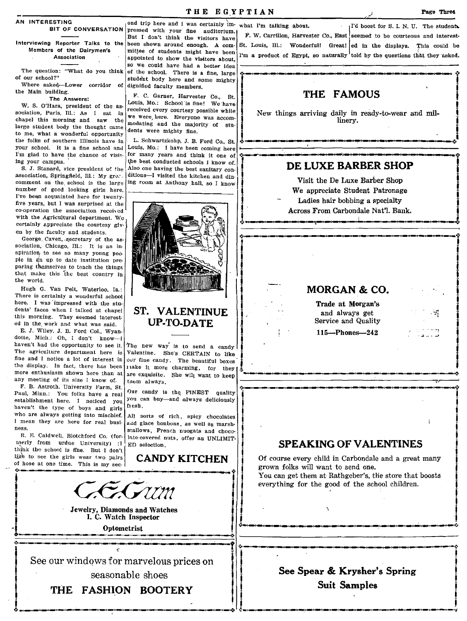## AN INTERESTING

Interviewing Reporter Talks to the Members of the Dairymen's Association

The question: "What do you think of our school?"

Where asked-Lower corridor of the Main buildIng.

sociation, Paris, Ill.: As I sat in chapel this morning and saw the large student body the thought came to me. what a wonderful opportunity the folks of southern Illinois have in your school. It is a fine school anti  $I'm$  glad to have the chance of visiting your campus.

S. J. Stanard. vice president *ot* the association, Springfield, Ill.: My gran. comment on the school is the large ing room at Anthony hall, so I know number of good looking girls here. I've been acquainted here for twentyfive years, but I was surprised at the co-operation the association receh od with the Agricultural department, We certainly appreciate the courtesy given by the faculty and students.

George, Caven. . secretary of the association. Chicago. Ill.: It is an inspiration, to see so many young people in an up to date institution preparing themselves to teach the things that make this the best country in the world,

Hugh G. Van Pelt. Waterloo. la.: There is certainly a wonderful school here. I was impressed with the students' faces when I talked at chapel this morning. They seemed Interest· ed in the, work and what was said.

E. J. Wiley, J. B. Ford Col., Wyandotte, Mich.: Oh, I don't know-I<br>haven't had the opportunity to see it. haven't had the opportunity to see it. The new way is to send a candy<br>The agriculture department here is Valentine. She's CERTAIN to like The agriculture department here is Valentine. She's CERTAIN to like fine and I notice a lot of interest in our fine candy. The beautiful boxes the display. In fact, there has been rake it more charming, for they more enthusiasm shown here than at are exquisite. She will want to keep any meeting of its size I know of.

F. B. Astroth, University Farm. St. Paul, Minn.: You folks have a real establishment here. I noticed you haven't the type of boys and girls<br>who are always getting into mischief. who are always getting into mischief. All sorts of rich, spicy chocolates I mean they are here for real busi- and glace bonbons as well as marsh.

lnerly from urdue University) :  $I \to ED$  selection. think the school is fine. But I don't like to see the girls wear two pairs **CANDY KITCHEN** of hose at one time. This is my sec· Example to see the girls wear two pairs<br>of hose at one time. This is my sec.<br>The section of the girls wear two pairs<br> $\begin{bmatrix}\n\cdot & \cdot & \cdot & \cdot & \cdot \\
\cdot & \cdot & \cdot & \cdot & \cdot \\
\cdot & \cdot & \cdot & \cdot & \cdot \\
\cdot & \cdot & \cdot & \cdot & \cdot \\
\cdot & \cdot & \cdot & \cdot & \cdot\n\end{bmatrix}$  Of could grown

BIT OF CONVERSATION pressed with your fine auditorium. ond trip here and I was certainly im- what I'm talking about. But I don't think the visitors have been shown around enough. A com. mittee of students might have been appointed to show the visitors about, so we could have had a better Idea of the school. There is a fine, large stude'nt body here and some mighty dignified faculty members.

The Answers:  $W.$  S. O'Hara, president of the as-<br> $W.$  S. O'Hara, president of the as-<br> $W.$  S. O'Hara, president of the as-<br> $\frac{1}{2}$  received except contagg position of the asreceived every courtesy possible while we were, here, Everyone was accom. modating and the majority of stu. dents were mighty fine.

> L. Schwartzkohp, J. B. Ford Co., St. Louis, Mo.: I have been coming here for many years and think it one of the best conducted schools I know of. Also one having the best sanitary conditions-I visited the kitchen and din-



## ST. VALENTINUE UP-TO-DATE

our fine candy. The beautiful boxes tnem always.

Our candy is the FINEST quality you can buy-and always deliciously flesh.

I mean they are here for real busi- and glace bonbons, as well as marsh-<br>ness. ess.<br>R. E. Caldwell, Blotchford Co. (for late-covered nuts, offer an IINLIMIT. late-covered nuts, offer an UNLIMIT-

I

Jewelry, Diamonds and Watches<br>I. C. Watch Inspector<br>Optometrist I. C. Watch Inspector  $\boxed{\qquad \qquad \text{Optometric}\\ \qquad \qquad \text{Optometric}\\ \qquad \qquad \text{Optometric}\\ \qquad \qquad \text{Optometric}\\ \qquad \qquad \text{Optometric}\\ \qquad \qquad \text{Optometric}\\ \qquad \qquad \text{Optometric}\\ \qquad \qquad \text{Optometric}\\ \qquad \qquad \text{Optometric}\\ \qquad \qquad \text{Optometric}\\ \qquad \qquad \text{Optometric}\\ \qquad \qquad \text{Optometric}\\ \qquad \qquad \text{Optometric}\\ \qquad \qquad \text{Optometric}\\ \qquad \qquad \text{Optometric}\\ \qquad \qquad \text{Optometric}\\ \qquad \qquad \text{Optometric}\\ \qquad \qquad \text{Optometric}\\ \q$ 

|<br>|<br>|-See our windows for marvelous prices on seasonable shoes See our windows for marvelous prices on seasonable shoes<br>THE FASHION BOOTERY

.:.-.-,---~-.--~~--~~~~\_ **...** *rz* 

THE FASHION BOOTERY

 $1$ <sup>I'd</sup> boost for S. I. N. U. The student. F. W. Carrillon, Harvester Co., East seemed to be courteous and interest-St. Louis, Ill.: Wonderful! Great! ed in the displays. This could be I'm a product of Egypt, so naturally told by the questions that they asked.

## THE FAMOUS

New things arriving daily in ready-to-wear and millinery.

## DE LUXE BARBER SHOP

Visit the De Luxe Barber Shop We appreciate Student Patronage Ladies hair bobbing a specialty Across From Carbondale Nat'l. Bank.

.1I\_'t\_C



Trade at Morgan's and always get Service and Quality 115---Phones-242



j<br>J<br>2

**International** 

I

-I

 $\frac{1}{2}$ 

 $\mathbf{I}$  $\int\limits_{-\infty}^{\infty}$ 

## $\left| \begin{array}{ccc} \n\end{array} \right|$ SPEAKING OF VALENTINES

I I

--------------------..:-.--------""/'l!~ t:·---'~-~~~(~i ,', <u>I final control de la control de la control de la control de la control de la control de la control de la con</u>

Of course every child in Carbondale and a great many grown folks will want to send one, You can get them at Rathgeber's, the store that boosts

everything for the good of the school children.

 $\mathbf{A}$ 

## See Spear & Krysher's Spring I Suit Samples J J .:'--,-----\_ .... \_-.\_-\_ ........ ..,..\_./

.:.\_~\_~,. *\_\_\_* ~ *\_\_* ~ *\_\_\_\_\_* ~ *\_\_* ~a-~.: *.*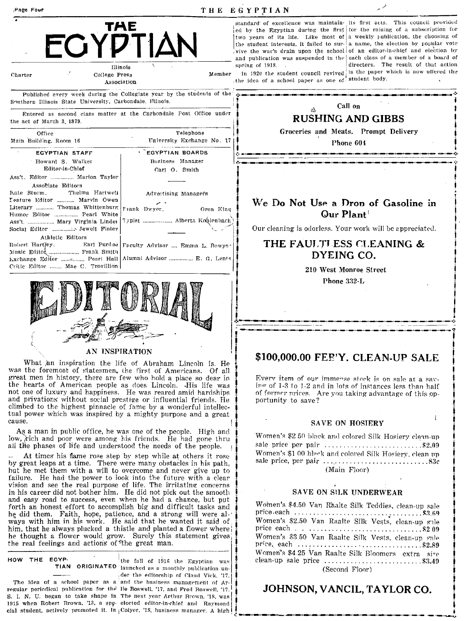| Page Four                                                                                                                                                                       |                                                                                                                                                           | THE EGYPTIAN                                                                                                                                                          |
|---------------------------------------------------------------------------------------------------------------------------------------------------------------------------------|-----------------------------------------------------------------------------------------------------------------------------------------------------------|-----------------------------------------------------------------------------------------------------------------------------------------------------------------------|
| $\blacksquare$                                                                                                                                                                  | TAE<br><b>ΥDTIΔΝ</b><br>Illinois                                                                                                                          | standard of excell<br>ed by the Egyptia<br>two years of its<br>the student interes<br>vive the war's dra<br>and publication wa<br>spring of 1918.<br>In 1920 the stud |
| Charter<br>College Press                                                                                                                                                        | Member<br>Association                                                                                                                                     | the idea of a scho                                                                                                                                                    |
| Southern Illinois State University, Carbondale, Illinois.<br>the act of March 3, 1879.                                                                                          | Published every week during the Collegiate year by the students of the component of<br>Entered as second class matter at the Carbondale Post Office under |                                                                                                                                                                       |
| Office<br>Main Building, Room 16                                                                                                                                                | Telephone<br>University Exchange No. 17                                                                                                                   | Gr                                                                                                                                                                    |
| EGYPTIAN STAFF<br>Howard S. Walker<br>Editor-in-Chief<br>Ass't. Editor  Marion Taylor                                                                                           | <b>EGYPTIAN BOARDS</b><br>Business Manager<br>Carl O. Smith                                                                                               |                                                                                                                                                                       |
| Associate Editors<br>Thelma Hartwell<br>Kate Sturm.<br>Feature Editor  Marvin Owen<br>Literary  Thomas Whittenburg<br>Humor Editor  Pearl White<br>Ass't.  Mary Virginia Linder | Advestising Managers<br>Frank Dwyer,<br>Oren King<br>Typist  Alberta Kohlenbach)                                                                          | We Do                                                                                                                                                                 |
| Social Editor  Jewell Finley                                                                                                                                                    |                                                                                                                                                           | Our cleanir                                                                                                                                                           |
| Athletic Editors<br>Robert Hartley.<br>Music Editor  Frank Smith<br>Critic Editor  Mae C. Trovillion                                                                            | Earl Purdue Faculty Advisor  Emma L. Bowye<br>Exchange Editor  Pearl Hall   Alumni Advisor  E. G. Lente                                                   | <b>THE</b>                                                                                                                                                            |

## AN INSPIRATION

What an inspiration the life of Abraham Lincoln is. He was the foremost of statesmen, the first of Americans. Of all great men in history, there are few who hold a place so dear in the hearts of American people as does Lincoln. His life was not one of luxury and happiness. He was reared amid hardships and privations without social prestige or influential friends. He climbed to the highest pinnacle of fame by a wonderful intellectual power which was inspired by a mighty purpose and a great cause

As a man in public office, he was one of the people. High and low, rich and poor were among his friends. He had gone thru all the phases of life and understood the needs of the people.

At times his fame rose step by step while at others it rose by great leaps at a time. There were many obstacles in his path, but he met them with a will to overcome and never give up to failure. He had the power to look into the future with a clear vision and see the real purpose of life. The irritating concerns in his career did not bother him. He did not pick out the smooth and easy road to success, even when he had a chance, but put forth an honest effort to accomplish big and difficult tasks and he did them. Faith, hope, patience, and a strong will were always with him in his work. He said that he wanted it said of him, that he always plucked a thistle and planted a flower where he thought a flower would grow. Surely this statement gives; the real feelings and actions of the great man.

HOW THE EGYPthe fall of 1916 the Egyptian was TIAN ORIGINATED launched as a monthly publication un-

regular periodical publication for the lie Boswell, '17, and Fred Boswell, '17. S. I. N. U. began to take shape in The next year Arthur Brown. '18, was 1915 when Robert Brown, '13, a spe- elected editor-in-chief and Raymond

der the editorship of Claud Vick, '17, The idea of a school paper as a and the business management of Arcial student, actively promoted it. In Colver, '18, business manager. A high!

standard of excellence was maintain- its first acts. This council provided  $\frac{1}{2}$  ed by the Egyptian during the first for the raising of a subscription tor two years of its life. Like most of a weekly publication, the choosing of the student interests, it failed to sur- a name, the election by popular vote vive the war's drain upon the school of an editor-in-chief and election by and publication was suspended in the each class of a member of a board of spring of  $1918$ .

directors. The result of that action

In 1920 the student council revived is the paper which is now offered the the idea of a school paper as one of student body.



## We Do Not Use a Drop of Gasoline in  $Q_{\text{HF}}$  Plant<sup>(</sup>

Our cleaning is odorless. Your work will be appreciated.

## THE FAULTI ESS CLEANING & DYFING CO.

210 West Monroe Street

Phone 332-L

## \$100,000.00 FEE'Y. CLEAN-UP SALE

Every item of our immerse stock is on sale at a saying of 1-3 to 1-2 and in lots of instances less than half of former prices. Are you taking advantage of this opportunity to save?

## **SAVE ON HOSIERY**

Women's \$2.50 black and colored Silk Hosiery clean-up sale price per pair  $\ldots \ldots \ldots \ldots \ldots \ldots$ \$2.09 Women's \$1 00 black and colored Silk Hosiery, clean up (Main Floor)

## SAVE ON SILK UNDERWEAR

Women's \$4.50 Van Rhalte Silk Teddies, clean-up sale price each ...  $\ldots$  ...  $\ldots$  ...  $\ldots$  ...  $\ldots$  ...  $$3.69$ Women's \$2.50 Van Raalte Silk Vests, clean-up sale Women's \$3.50 Van Raalte Silk Vests, clean-up sale Women's \$4.25 Van Raalte Silk Bloomers extra size clean-up sale price .............................\$3.49 (Second Floor)

## JOHNSON, VANCIL. TAYLOR CO.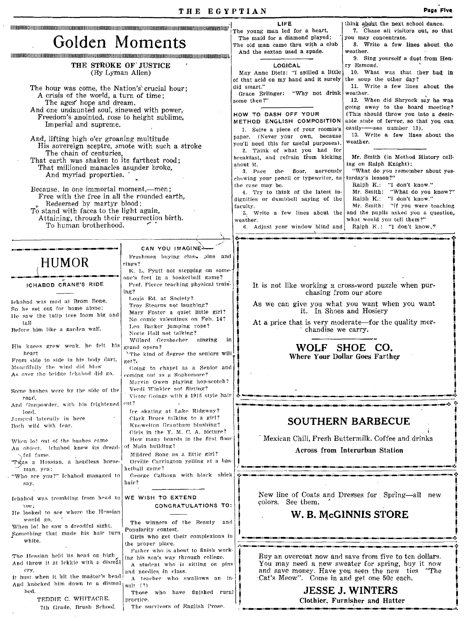|                                                                                       |                                                                           | LIFE<br>The young man led for a heart,                                    | think about the next school dance.<br>7. Chase all visitors out, so that      |
|---------------------------------------------------------------------------------------|---------------------------------------------------------------------------|---------------------------------------------------------------------------|-------------------------------------------------------------------------------|
| Golden Moments                                                                        |                                                                           | The maid for a diamond played;                                            | you may concentrate.                                                          |
|                                                                                       |                                                                           | The old man came thru with a club<br>And the sexton used a spade.         | 8. Write a few lines about the<br>weather.                                    |
| THE STROKE OF JUSTICE                                                                 |                                                                           | LOGICAL                                                                   | 9. Sing yourself a duet from Hen-<br>ry Esmond.                               |
| (By Lyman Allen)                                                                      |                                                                           | May Anne Dietz: "I spilled a little                                       | 10. What was that they had in                                                 |
| The hour was come, the Nation's crucial hour:                                         |                                                                           | of that acid on my hand and it surely<br>did smart."                      | the soup the other day?<br>11. Write a few lines about the                    |
| A crisis of the world, a turn of time;                                                |                                                                           | "Why not drink"<br>Grace Erlinger:                                        | weather.                                                                      |
| The ages' hope and dream.<br>And one undaunted soul, sinewed with power.              |                                                                           | some then?"                                                               | 12. When did Shryock say he was<br>going away to the board meeting?           |
| Freedom's anointed, rose to height sublime,                                           |                                                                           | HOW TO DASH OFF YOUR<br>METHOD ENGLISH COMPOSITION                        | (This should throw you into a desir-<br>able state of fervor, so that you can |
| Imperial and supreme.                                                                 |                                                                           | 1. Seize a piece of your roomie's                                         | easily--see number 13).                                                       |
| And, lifting high o'er groaning multitude                                             |                                                                           | paper. (Never your own, because<br>you'll need this for useful purposes). | 13. Write a few lines about the<br>weather.                                   |
| His sovereign sceptre, smote with such a stroke<br>The chain of centuries.            |                                                                           | 2. Think of what you had for                                              |                                                                               |
| That earth was shaken to its farthest rood;                                           |                                                                           | breakfast, and refrain from kicking<br>about it.                          | Mr. Smith (in Method History call-<br>ing on Ralph Knight):                   |
| That millioned manacles asunder broke,<br>And myriad properties.                      |                                                                           | 3. Pace the floor, nervously                                              | "What do you remember about yes-                                              |
|                                                                                       |                                                                           | chewing your pencil or typewriter, as<br>the case may be.                 | terday's lesson?"<br>Ralph K.: "I don't know."                                |
| Because, in one immortal moment,—men;<br>Free with the free in all the rounded earth, |                                                                           | 4. Try to think of the latest in-<br>dignities or dumbbell saying of the  | Mr. Smith: "What do you know?"<br>Ralph K.: "I don't know."                   |
| Redeemed by martyr blood;<br>To stand with faces to the light again,                  |                                                                           | faculty.                                                                  | Mr. Smith: "If you were teaching                                              |
| Attaining, through their resurrection birth.                                          |                                                                           | 5. Write a few lines about the<br>weather.                                | and the pupils asked you a question,<br>what would you tell them?"            |
| To human brotherhood.                                                                 |                                                                           | 6. Adjust your window blind and                                           | Ralph K.: "I don't know,"                                                     |
|                                                                                       |                                                                           |                                                                           |                                                                               |
|                                                                                       | CAN YOU IMAGINE                                                           |                                                                           |                                                                               |
| <b>HUMOR</b>                                                                          | Freshmen buying class pins and<br>rings?                                  |                                                                           |                                                                               |
|                                                                                       | K. L. Pyatt not stepping on some-<br>one's feet in a basketball game?     |                                                                           |                                                                               |
| ICHABOD CRANE'S RIDE                                                                  | Prof. Pierce teaching physical train-                                     |                                                                           | It is not like working a cross-word puzzle when pur-                          |
|                                                                                       | ing?<br>Louis Ed. at Society?                                             |                                                                           | chasing from our store                                                        |
| Ichabod was mad at Brom Bone,<br>So he set out for home alone:                        | Troy Stearns not laughing?                                                |                                                                           | As we can give you what you want when you want<br>it. In Shoes and Hosiery    |
| He saw the tulip tree loom big and                                                    | Mary Foster a quiet little girl?<br>No comic valentines on Feb. 14?       |                                                                           | At a price that is very moderate—for the quality mer-                         |
| tall<br>Before him like a garden wall.                                                | Leo Barker jumping rope?<br>Norie Hall not talking?                       | chandise we carry.                                                        |                                                                               |
|                                                                                       | Willard Gersbacher singing<br>in                                          |                                                                           |                                                                               |
| His knees grew weak, he felt his<br>heart                                             | grand opera?<br>'The kind of degree the seniors will                      |                                                                           | WOLF SHOE CO.<br>Where Your Dollar Goes Farther                               |
| From side to side in his body dart.<br>Mourntully the wind did blow                   | get?.<br>Going to chapel as a Senior and                                  |                                                                           |                                                                               |
| As over the bridge Jehabod did go.                                                    | coming out as a Sophomore?                                                |                                                                           |                                                                               |
|                                                                                       | Marvin Owen playing hop-scotch?<br>Verdi Winkler not flirting?            |                                                                           |                                                                               |
| Some bushes were by the side of the<br>road,                                          | Victor Goings with a 1915 style hair                                      |                                                                           |                                                                               |
| And Gunpowder, with his frightened cut?<br>load.                                      | Ice skating at Lake Ridgway?                                              |                                                                           |                                                                               |
| Jumped laterally in here                                                              | Clark Bruce talking to a girl?                                            |                                                                           | SOUTHERN BARBECUE                                                             |
| Both wild with fear.                                                                  | Knowelton Grantham blushing?<br>Girls in the Y. M. C. A. picture?         |                                                                           |                                                                               |
| When lo! out of the bushes came                                                       | How many boards in the first floor<br>of Main huilding?                   |                                                                           | Mexican Chili, Fresh Buttermilk. Coffee and drinks                            |
| An object. Ichabod knew its dread-<br>∖ful fame.                                      | Mildred Bone as a little girl?                                            |                                                                           | Across from Interurban Station                                                |
| 'Twas a Hessian, a headless horse-<br>man, yea:                                       | Orville Carrington yelling at a bas-<br>ketball game?                     |                                                                           |                                                                               |
| "Who are you?" Ichabod managed to                                                     | George Calhoun with black shiek                                           |                                                                           |                                                                               |
| say.                                                                                  | hair?                                                                     |                                                                           |                                                                               |
| Jehabod was trembling from head to                                                    | WE WISH TO EXTEND                                                         | colors. See them.                                                         | New line of Coats and Dresses for Spring—all new                              |
| toe;<br>He looked to see where the Hossian                                            | CONGRATULATIONS TO:                                                       |                                                                           |                                                                               |
| would go.                                                                             | The winners of the Beauty<br>and                                          |                                                                           | W. B. McGINNIS STORE                                                          |
| When lo! he saw a dreadful sight.<br>Something that made his hair turn                | Popularity contest.                                                       |                                                                           |                                                                               |
| white.                                                                                | Girls who get their complexions in<br>the proper place.                   |                                                                           |                                                                               |
| The Hessian held its head on high                                                     | Father who is about to finish work-<br>ing his son's way through college. |                                                                           | Buy an overcoat now and save from five to ten dollars.                        |
| And threw it at lekkie with a dismal                                                  | A student who is sitting on pins                                          |                                                                           | You may need a new sweater for spring, buy it now                             |
| crv.<br>It bust when it hit the master's head                                         | and needles <i>i</i> n class.<br>A teacher who swallows an in-            | Cat's Meow". Come in and get one 50c each.                                | and save money. Have you seen the new ties "The                               |
| And knocked him down to a dismal                                                      | sult(?)                                                                   |                                                                           | <b>JESSE J. WINTERS</b>                                                       |
| bed.<br>TEDDIE C. WHITACRE.                                                           | Those<br>who have finished rural<br>practice.                             |                                                                           | Clothier, Furnisher and Hatter                                                |
| 7th Grade, Brush School.                                                              | The survivors of English Prose.                                           |                                                                           |                                                                               |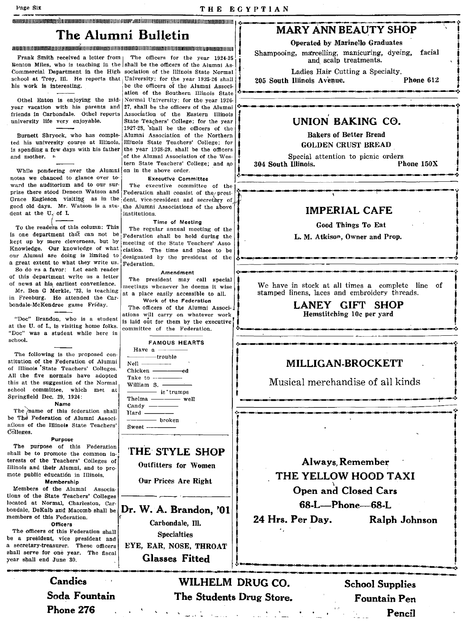# *<sup>i</sup>*MARY ANN BEAUTY SHOP '! The Alumni Bulletin I Operated by Marinello . Graduates • i

Renton Miles, who is teaching in the shall be the officers of the Alumni As-  $\frac{1}{2}$ . and scalp creatments.<br>Commercial Department in the High sociation of the Illinois State Normal . Ladies Hair Cutting a Specialty. Commercial Department in the High sociation of the Illinois State Normal  $\begin{bmatrix} 1 \end{bmatrix}$  Ladies Hair Cutting a Specialty.<br>
School at Troy, Ill. He reports that University; for the year 1925-26 shall 205 South Illinois Av school at Troy, Ill. He reports that University; for the year 1925-26 shall his work is interesting.

year vacation with his parents and  $27$ , shall be the officers of the Alumni  $\frac{10}{2}$  -  $\cdots$  and  $\cdots$  are expressive contraction of the  $\frac{1}{2}$ . friends in Carbondale. Othel reports<br>university life very enjoyable.

ted his university course at Illinois, Illinois State Teachers' College; for is spending a few days with his father the year 1928-29, shall be the officers is spending a few days with his father and mother.

While pondering over the Alumni on in the above order. notes we chanced to glance over to-<br>ward the auditorium and to our sur-<br>The executive committee dent at the U. of I.

 $\begin{array}{|c|c|c|c|c|}\n\hline\n\text{The enders of this column: This}\n\end{array}$ is one department that can not be  $\frac{1}{k}$  Federation shall be held during the stept up by mere cleverness, but by  $\frac{1}{k}$  meeting of the State Teachers' Acco. kept up by mere cleverness, but by meeting of the State Teachers' Asso<br>Knowledge. Our knowledge of what ejetion. The time and place to be Knowledge. Our knowledge of what elation. The time and place to be our Alumni are doing is limited to designated by the president of the a great extent to what they write us.  $_{\text{Federation}}$ . So do  $\text{vs } a$  favor: Let each reader  $\begin{bmatrix} 1 & 1 & 1 & 1 & 1 \\ 0 & 1 & 1 & 1 & 1 \\ 0 & 0 & 0 & 1 & 1 \\ 0 & 0 & 0 & 0 & 1 \end{bmatrix}$  Amendment of this department write us a letter The president may call special of news at his earliest convenience. Mr. Ben G Merkle, '23, is teaching in Freeburg. He attended the Car· bondale-McKendree game Friday.

at the U. of I., is visiting home folks.  $\begin{bmatrix} 1.5 & 14.1 & 14.1 & 14.1 & 14.1 \\ \text{committee} & \text{of} & \text{the} & \text{Federation.} \end{bmatrix}$ "Doc" was a student while here in school.

The following is the proposed constitution of the Federation of Alumni of Illinois 'State Teachers' Colleges. All the five normals have adopted this at the suggestion of the Normal school committee, which met at Springfield Dec. 29. 1924:

, Name

The *name* of this federation shall be The Federation of Alumni Associations of the Illinois State Teachers' COlleges.

### Purpose

The purpose of this Federation shall be to promote the common interests of the Teachers' Colleges of Illinois and their Alumni, and to promote public education in Illinois.

## Membership

Members of the Alumni Associations of the State Teachers' Colleges located at Normal, Charleston, Car· memhers of this Federation. Officers

The officers of this Federation shall be a president, vice president and a secretary-treasurer. These officers shall serve for one year. The fiscal year shall end June 30.

> Soda Fountain Phone 276

senoof at Troy, in. He reports that University; for the year 1925-26 shall  $\begin{bmatrix} 205 \text{ South Illinois Avenue.} \end{bmatrix}$ . Phone 612 Othei Eaton is enjoying the mid- Normal University; for the year 1926-Association of the Eastern Illinois State Teachers' College; for the year 1927-28, 'shall be the officers of the Burnett Shryock, who has comple- Alumni Association of the Northern of the Alumni Association of the Western State Teachers' College; and so

The executive committee of the prise there stood Deneen Watson and Federation shall consist of the/presi-<br>Grace Eagleson, visiting as in the dent, vice-president and secretary of Grace Eagleson visiting as in the dent, vice-president and secretary of good old days. Mr. Watson is a stu- the Alumni Associations of the shown the Alumni Associations of the above<br>institutions.

The regular annual meeting of the designated by the president of the

meetings whenever he deems it wise at a place easily accessible to alL Work of the Federation

The officers of the Alumni Associ-. ations will carry on whatever work "Doc" Brandon, who is a student is laid out for them by the executive

| FAMOUS HEARTS                          |
|----------------------------------------|
| Have a $\frac{1}{1}$                   |
| —————trouble                           |
| Nell ________                          |
|                                        |
| Take to $---$                          |
| William S.                             |
| ───── is trumps                        |
| Thelma $\frac{1}{1}$ well              |
| Candy $\frac{\ }{\ }$                  |
| Hard $\frac{\phantom{1}}{\phantom{1}}$ |
|                                        |
|                                        |
|                                        |

## THE STYLE SHOP

Outfitters for Wumen

Our Prices Are Right

bondale, DeKalb and Macomb shall be  $\left| \text{Dr. W. A. Brandon, '01}\right|$  members of this Federation. Carbondale, Ill. Specialties EYE, EAR, NOSE, THROAT Glasses Fitted

## **CONSUMERING A LABOURDED A LABOURDED A LABOURDED A LABOURDED A LABOURDED A LABOURDED A LABOURDED A LABOURDED A LABOURDED A LABOURDED A LABOURDED A LABOURDED A LABOURDED A LABOURDED A LABOURDED A LABOURDED A LABOURDED A LAB**

Frank Smith received a letter from The officers for the year 1924-25 <br>Frank Smith received a letter from The officers for the year 1924-25 <br>and scalp treatments.

# UNION BAKING CO.<br>Bakers of Better Bread

GOLDEN CRUST BREAD

Special attention to picnic orders<br>
Illinois. Phone 150X 304 South Illinois.

 $\beta_i$  in the position of the construction of the construction of the construction of the construction of the construction  $\theta^*_i$ 

...... \_..-~\_I~\_~--\_--·---~.---------·!· , t

# IMPERIAL CAFE<br>
Good Things To Eat<br>
L. M. Atkison, Owner and Prop.

<sup>I</sup>J .:.~~~ .. --'--.-'-'------'--~--'-'''--'.~ • ... ~\_.....-.c \_\_ (\_.-.-\_\_ .\_-..-\_\_ ~~ \_\_ ~ \_\_ .;.

We have in stock at all times a complete line of stamped linens, laces and embroidery threads.

LANEY GIFT SHOP<br>
Hemstitching 10c per yard.

.!.-.>-~~~---,---.-------<--.-----.,~

## MILLIGAN-BROCKETT

Musical merchandise of all kinds  $\begin{bmatrix} \cdot & \cdot & \cdot \\ \cdot & \cdot & \cdot \end{bmatrix}$ Musical merchandise of all kinds

.:,'\_')\_t} \_\_ .. \_\_\_\_ (\_' \_\_ .~L\_"~. \_\_\_\_ , \_\_\_\_\_\_\_\_ .:. <sup>j</sup>

I . I

Always, Remember<br>THE YELLOW HOOD TAXI Open and Closed Cars 68-L—Phone—68-L<br>er Day. Ralph Johnson 24 Hrs. Per Day.

':·~"'":"'-----~-"'\_"' \_\_\_ ~I~~~~""'~~-""'~~~.!t I

Candies WILHELM DRUG CO. School Supplies The Students Drug Store.

Fountain Pen Pencil

t i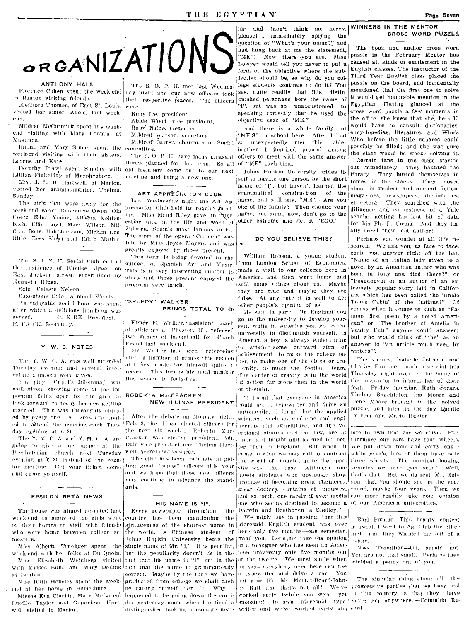## THE EGYPTIAN

## ANTHONY HALL

in Benton visiting friends.

Eleanore Thomas, of East St. Louis, visited her sister, Adele, last weekend.

Mildred McCormick spent the weekend visiting with Mary Loomis at Makanda.

Emma and Mary Sturm spent the week-end visiting with their sisters. Lorene and Kate.

Dorothy Prawl spent Sunday with Idlian Finkelday of Murphysboro.

Mrs. J. L. D. Hartwell, of Marion, visited her grand-daughter, Thelma, Sunday.

The girls that were away for the week-end were: Genevieve Owen, Ola Goetz, Edna Young, Alberta Kohlenbach, Effie Lovd, Mary Wilson, Mildred Bone, Hah/Jackson, Miriam Doolittle, Bess Short and Edith Mathis.

The S. I. N. U. Social Club met at the residence of Elouise Algee on East Jackson street, entertained by Kenneth Hines.

Solo -Celeste Nelson.

Saxophone Solo- Armond Woods. An enjoyable social hour was spent after which a delicious lunchcon was served. C. KIRK, President. E. PRICE, Secretary.

### Y. W. C. NOTES

The Y. W. C. A. was well attended Tuesday evening and several interesting numbers were given.

The play, "Cupid's Dilemma," was weil given, showing some of the important fields open for the girls to look forward to today hesides getting married. This was thoroughly enjoyed by every one. All girls are invited to aftend the meeting each Tuesday exching at 6:30.

The Y. M. C. A. and Y. M. C. A. are going to give a big supper at the Dale vice president and Thelma Hart-Presbyterian church next Tuesday evening at 6:30 instead of the regular meeting. Get your ticket, come and enjoy yourself.

## **EPSILON BETA NEWS**

The house was almost descried last week-end as many of the girls went country has been mentioning to their homes to visit with friends who were home between college semesters.

Miss Alberta Truebger spent the week-end with her folks at Du Quoin. Miss Elizabeth Weinherg visited with Misses Edna and Mary Dollins fact that the name is grammatically at Renton

Miss Ruth Hensley spent the weekend at her home in Harrisburg.

Misses Eva Clarida, Mary McLaren, well visited in Marion.

The S. O. P. H. met last Wednes-Florence Cohen spent the week-end day night and our new officers took their respective places. The officers were:

Ruby Ice, president.

- Abbie Wood, vice president.
- Ruby Baine, treasurer.

Mildred Watson, secretary.

committee.

The S. O. P. H. have many pleasant things planned for this term. So all of "ME" each time. old members come out to our next meeting and bring a new one.

## ART APPRECIATION CLUB

Last Wednesday night the Art Appreciation Club held its regular meeting. Miss Maud Riley gave an interesting talk on the life and work of Zulooga, Spain's most famous artist. The story of the opera "Carmen" was told by Miss Joyce Moyers and was greatly enjoyed by those present.

This term is being devoted to the subject of Spanish Art and Music. This is a very interesting subject to: study and those present enjoyed the program very much.

"SPEEDY" WALKER **BRINGS TOTAL TO 45** 

 $\frac{1}{2} \left( \frac{1}{2} \right) \left( \frac{1}{2} \right) \left( \frac{1}{2} \right) \left( \frac{1}{2} \right) \left( \frac{1}{2} \right) \left( \frac{1}{2} \right) \left( \frac{1}{2} \right) \left( \frac{1}{2} \right) \left( \frac{1}{2} \right) \left( \frac{1}{2} \right) \left( \frac{1}{2} \right) \left( \frac{1}{2} \right) \left( \frac{1}{2} \right) \left( \frac{1}{2} \right) \left( \frac{1}{2} \right) \left( \frac{1}{2} \right) \left( \frac$ 

Elmer E. Walker, assistant coach of athletics at Chester, Ill., refereed two games of basketball for Coach Fishel last week-end.

Mr. Walker has been refereeing quite a number of games this season and has made for himself quite a pers to make the football team. record. This brings his total number this season to forty-five.

## ROBERTA MacCRACKEN, NEW ILLINAE PRESIDENT

After the debate on Monday night. Feb. 2, the Illinae elected officers for the next six weeks. Roberta Mac-Cracken was elected president. Ada well secretary-treasurer.

The club has been fortunate in getting good "peppy" officers this year and we hope that these new officers may continue to advance the standarde

## HIS NAME IS "I".

Every newspaper throughout  $the$ the strangeness of the shortest name in the world. A Chinese student -of Johns Hopkin University bears the single name of Mr. "I." It is peculiar. but the peculiarity doesn't lie in the fact that his name is "I", but in the correct. Maybe by the time we have graduated from college we shall each be calling ourself "Mr. I." Why. I happened to be going down the corridistinguished looking personage near- writer and we've worked early and cord.

ing and (don't think me nervy, please) I immediately sprung the question of "What's your name?" and had flung back at me the statement, "ME"! Now, there you are. Miss Bowyer would tell you never to put a form of the objective where the subjective should be, so why do you college students continue to do it? You see, quite readily that this distinguished personage bore the name of "I", but was so unaccustomed to speaking correctly that he used the objective case of "ME"

And there is a whole family റി "ME'S" in school here. After I had Mildred' Barter, chairman of Social so unexpectedly met this older .<br>|brother I inquired around among others to meet with the same answer

> Johns Hopkin University prides itself in having one person by the short name of "I", but haven't learned the grammatical construction of the name, and still say, "ME". Are you one of the family? Then change your name, but mind, now, don't go to the other extreme and get it "EGO."

## DO YOU BELIEVE THIS?

William Robson, a young student from London School of Economics, made a visit to our colleges here in America, and then went home and said some things about us. Maybe they are true and maybe they are false. At any rate it is well to get other people's opinion of us.

He said in part: "In England you go to the university to develop yourself, while in America you go to the university to distinguish yourself. In America a boy is always endeavoring to attain some outward sign of achievement-to make the college paper, to make one of the clubs or fra-The center of gravity is in the world of action far more than in the world of thought.

"I found that everyone in America could use a typewriter and drive an automobile. I found that the applied sciences, such as medicine and engineering and agriculture, and the vo cational studies such as law, are at their best taught and learned far better than in England. But when it came to what we may call by contrast the world of thought, quite the opposite was the case. Although one meets students who obviously show promise of becoming great chgineers great doctors, captains of industry, and so forth, one rarely if ever meets one who seems destined to become a Darwin and Beethoven, a Shelley."

We might say in passing, that this aforesaid English student was over here only five months-one semester, mind you. Let's not take the opinion of a foreigner who has seen an American university only five months out of the twelve. We must smile when The savs everybody over here can use a typewriter and drive a car. You bet your life, Mr. Mortar-Board-John-

## WINNERS IN THE MENTOR CROSS WORD PUZZLE

The book and author cross word puzzle in the February Mentor has caused all kinds of excitement in the English classes. The instructor of the Third Year English class placed the puzzle on the board, and incidentally mentioned that the first one to solve it would get honorable mention in the Egyptian. Having glanced at the cross word puzzle a few moments in the office, she knew that she, herself. would have to consult dictionaries, encyclopedias, literature, and Who's Who before the little squares could possibly be filled; and she was sure the class would be weeks solving it.

Certain fans in the class started out immediately. They haunted the library. They buried themselves in tomes in the stacks. They nosed about in modern and ancient fiction. magazines, newspapers, dictionaries. et cetera. They searched with the diligence and earnestness of a Yale scholar getting his last bit of data for his Ph. D. thesis. And they finally treed their last author!

Perhaps you wonder at all this research. We ask you, as face to face, could you answer right off the bat, Name of an Italian lady given to a novel by an American author who was born in Italy and died there?" or "Pseudonym of an author of an extremely popular story laid in California which has been called the 'Uncle Tom's Cabin' of the Indians?"  $Of$ course when it comes to such as "Famous first poem by a noted American" or "The brother of Amelia in Vanity Fair" anyone could answer; but who would think of "the" as an answer to "an article much used by writers"?

The victors, Isabelle Johnson and Charles Faulkner, made a special trip Thursday night over to the home of the instructor to inform her of their feat. Friday morning Ruth Stears. Thelma Shackleton, Ina Moore and Irene Moore brought in the solved puzzle, and later in the day Lucille Parrish and Marie Hagler.

late to own that car we drive. Furthermore our cars have four wheels. We put down four and carry onewhile your's, lots of them have only three wheels. The funniest looking vehicles we have ever seen! Well, that's that. But we do feel, Mr. Robson, that you should see us the year round, maybe four years. Then we can more readily take your opinion of our American universities.

Earl Purdue---This beauty contest is awful. I went to Ag. Club the other night and they wielded me out of a penny.

Miss Trovillion--Oh, surely not. You are not that small. Perhaps they wielded a penny out of you.

The singular thing about all the ny Bull, and that's not all! We've reserve part'es that we have had worked early (while you were yet in this country is that they have Lucille Taylor and Genevieve Hart dor vesterday noon, when I noticed a snoozing!) to own aforesaid type hever got anywhere.—Columbia Re